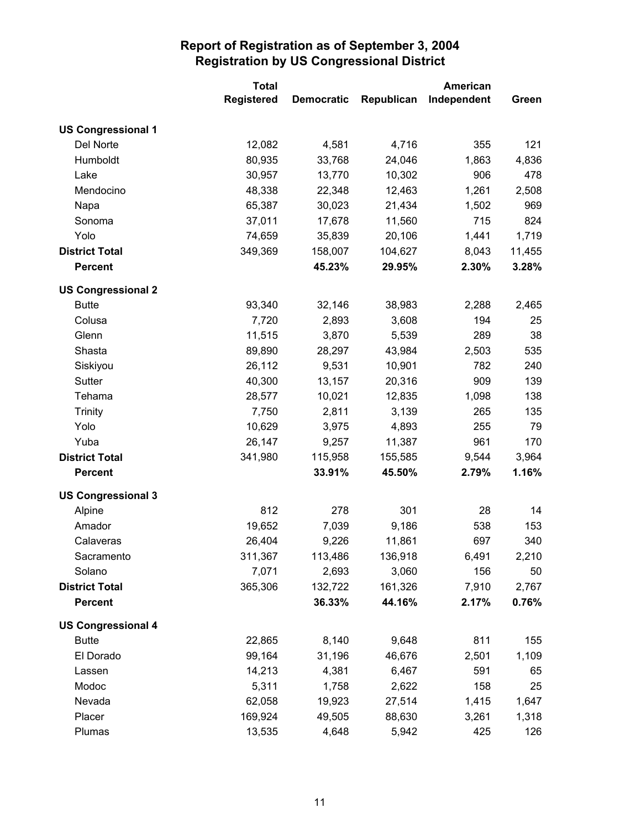|                           | <b>Total</b>      |                   |            | <b>American</b> |        |
|---------------------------|-------------------|-------------------|------------|-----------------|--------|
|                           | <b>Registered</b> | <b>Democratic</b> | Republican | Independent     | Green  |
| <b>US Congressional 1</b> |                   |                   |            |                 |        |
| Del Norte                 | 12,082            | 4,581             | 4,716      | 355             | 121    |
| Humboldt                  | 80,935            | 33,768            | 24,046     | 1,863           | 4,836  |
| Lake                      | 30,957            | 13,770            | 10,302     | 906             | 478    |
| Mendocino                 | 48,338            | 22,348            | 12,463     | 1,261           | 2,508  |
| Napa                      | 65,387            | 30,023            | 21,434     | 1,502           | 969    |
| Sonoma                    | 37,011            | 17,678            | 11,560     | 715             | 824    |
| Yolo                      | 74,659            | 35,839            | 20,106     | 1,441           | 1,719  |
| <b>District Total</b>     | 349,369           | 158,007           | 104,627    | 8,043           | 11,455 |
| <b>Percent</b>            |                   | 45.23%            | 29.95%     | 2.30%           | 3.28%  |
| <b>US Congressional 2</b> |                   |                   |            |                 |        |
| <b>Butte</b>              | 93,340            | 32,146            | 38,983     | 2,288           | 2,465  |
| Colusa                    | 7,720             | 2,893             | 3,608      | 194             | 25     |
| Glenn                     | 11,515            | 3,870             | 5,539      | 289             | 38     |
| Shasta                    | 89,890            | 28,297            | 43,984     | 2,503           | 535    |
| Siskiyou                  | 26,112            | 9,531             | 10,901     | 782             | 240    |
| Sutter                    | 40,300            | 13,157            | 20,316     | 909             | 139    |
| Tehama                    | 28,577            | 10,021            | 12,835     | 1,098           | 138    |
| <b>Trinity</b>            | 7,750             | 2,811             | 3,139      | 265             | 135    |
| Yolo                      | 10,629            | 3,975             | 4,893      | 255             | 79     |
| Yuba                      | 26,147            | 9,257             | 11,387     | 961             | 170    |
| <b>District Total</b>     | 341,980           | 115,958           | 155,585    | 9,544           | 3,964  |
| <b>Percent</b>            |                   | 33.91%            | 45.50%     | 2.79%           | 1.16%  |
| <b>US Congressional 3</b> |                   |                   |            |                 |        |
| Alpine                    | 812               | 278               | 301        | 28              | 14     |
| Amador                    | 19,652            | 7,039             | 9,186      | 538             | 153    |
| Calaveras                 | 26,404            | 9,226             | 11,861     | 697             | 340    |
| Sacramento                | 311,367           | 113,486           | 136,918    | 6,491           | 2,210  |
| Solano                    | 7,071             | 2,693             | 3,060      | 156             | 50     |
| <b>District Total</b>     | 365,306           | 132,722           | 161,326    | 7,910           | 2,767  |
| <b>Percent</b>            |                   | 36.33%            | 44.16%     | 2.17%           | 0.76%  |
| <b>US Congressional 4</b> |                   |                   |            |                 |        |
| <b>Butte</b>              | 22,865            | 8,140             | 9,648      | 811             | 155    |
| El Dorado                 | 99,164            | 31,196            | 46,676     | 2,501           | 1,109  |
| Lassen                    | 14,213            | 4,381             | 6,467      | 591             | 65     |
| Modoc                     | 5,311             | 1,758             | 2,622      | 158             | 25     |
| Nevada                    | 62,058            | 19,923            | 27,514     | 1,415           | 1,647  |
| Placer                    | 169,924           | 49,505            | 88,630     | 3,261           | 1,318  |
| Plumas                    | 13,535            | 4,648             | 5,942      | 425             | 126    |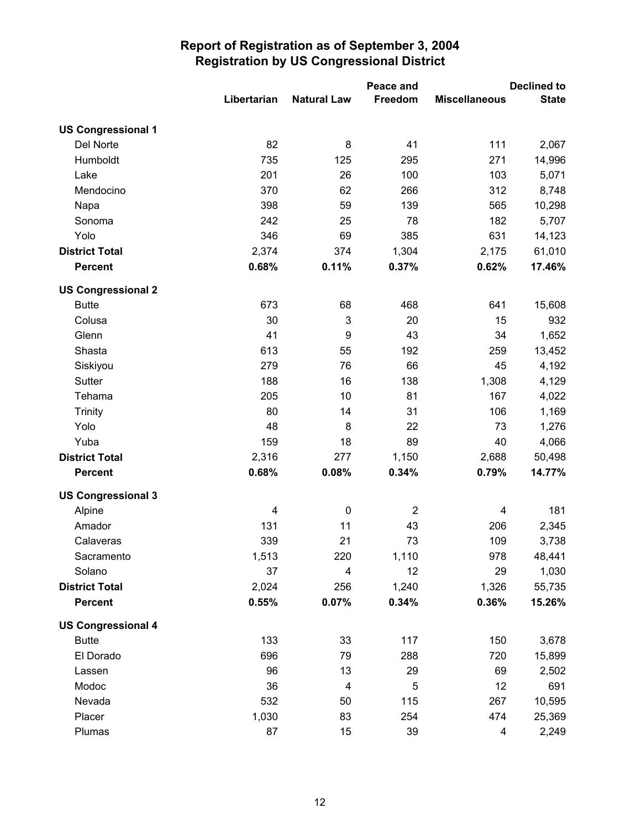|                           |             |                    | Peace and      |                      | <b>Declined to</b> |  |
|---------------------------|-------------|--------------------|----------------|----------------------|--------------------|--|
|                           | Libertarian | <b>Natural Law</b> | Freedom        | <b>Miscellaneous</b> | <b>State</b>       |  |
| <b>US Congressional 1</b> |             |                    |                |                      |                    |  |
| Del Norte                 | 82          | 8                  | 41             | 111                  | 2,067              |  |
| Humboldt                  | 735         | 125                | 295            | 271                  | 14,996             |  |
| Lake                      | 201         | 26                 | 100            | 103                  | 5,071              |  |
| Mendocino                 | 370         | 62                 | 266            | 312                  | 8,748              |  |
| Napa                      | 398         | 59                 | 139            | 565                  | 10,298             |  |
| Sonoma                    | 242         | 25                 | 78             | 182                  | 5,707              |  |
| Yolo                      | 346         | 69                 | 385            | 631                  | 14,123             |  |
| <b>District Total</b>     | 2,374       | 374                | 1,304          | 2,175                | 61,010             |  |
| <b>Percent</b>            | 0.68%       | 0.11%              | 0.37%          | 0.62%                | 17.46%             |  |
| <b>US Congressional 2</b> |             |                    |                |                      |                    |  |
| <b>Butte</b>              | 673         | 68                 | 468            | 641                  | 15,608             |  |
| Colusa                    | 30          | $\mathfrak{B}$     | 20             | 15                   | 932                |  |
| Glenn                     | 41          | 9                  | 43             | 34                   | 1,652              |  |
| Shasta                    | 613         | 55                 | 192            | 259                  | 13,452             |  |
| Siskiyou                  | 279         | 76                 | 66             | 45                   | 4,192              |  |
| Sutter                    | 188         | 16                 | 138            | 1,308                | 4,129              |  |
| Tehama                    | 205         | 10                 | 81             | 167                  | 4,022              |  |
| <b>Trinity</b>            | 80          | 14                 | 31             | 106                  | 1,169              |  |
| Yolo                      | 48          | 8                  | 22             | 73                   | 1,276              |  |
| Yuba                      | 159         | 18                 | 89             | 40                   | 4,066              |  |
| <b>District Total</b>     | 2,316       | 277                | 1,150          | 2,688                | 50,498             |  |
| <b>Percent</b>            | 0.68%       | 0.08%              | 0.34%          | 0.79%                | 14.77%             |  |
| <b>US Congressional 3</b> |             |                    |                |                      |                    |  |
| Alpine                    | 4           | $\pmb{0}$          | $\overline{2}$ | 4                    | 181                |  |
| Amador                    | 131         | 11                 | 43             | 206                  | 2,345              |  |
| Calaveras                 | 339         | 21                 | 73             | 109                  | 3,738              |  |
| Sacramento                | 1,513       | 220                | 1,110          | 978                  | 48,441             |  |
| Solano                    | 37          | $\overline{4}$     | 12             | 29                   | 1,030              |  |
| <b>District Total</b>     | 2,024       | 256                | 1,240          | 1,326                | 55,735             |  |
| <b>Percent</b>            | 0.55%       | 0.07%              | 0.34%          | 0.36%                | 15.26%             |  |
| <b>US Congressional 4</b> |             |                    |                |                      |                    |  |
| <b>Butte</b>              | 133         | 33                 | 117            | 150                  | 3,678              |  |
| El Dorado                 | 696         | 79                 | 288            | 720                  | 15,899             |  |
| Lassen                    | 96          | 13                 | 29             | 69                   | 2,502              |  |
| Modoc                     | 36          | 4                  | 5              | 12                   | 691                |  |
| Nevada                    | 532         | 50                 | 115            | 267                  | 10,595             |  |
| Placer                    | 1,030       | 83                 | 254            | 474                  | 25,369             |  |
| Plumas                    | 87          | 15                 | 39             | 4                    | 2,249              |  |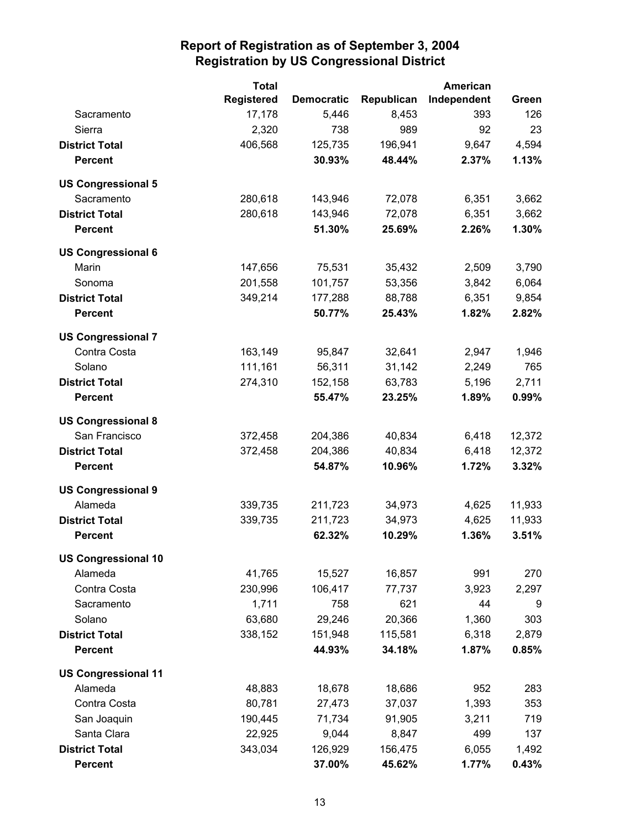|                            | <b>Total</b>      |                   | American   |             |        |
|----------------------------|-------------------|-------------------|------------|-------------|--------|
|                            | <b>Registered</b> | <b>Democratic</b> | Republican | Independent | Green  |
| Sacramento                 | 17,178            | 5,446             | 8,453      | 393         | 126    |
| Sierra                     | 2,320             | 738               | 989        | 92          | 23     |
| <b>District Total</b>      | 406,568           | 125,735           | 196,941    | 9,647       | 4,594  |
| <b>Percent</b>             |                   | 30.93%            | 48.44%     | 2.37%       | 1.13%  |
| <b>US Congressional 5</b>  |                   |                   |            |             |        |
| Sacramento                 | 280,618           | 143,946           | 72,078     | 6,351       | 3,662  |
| <b>District Total</b>      | 280,618           | 143,946           | 72,078     | 6,351       | 3,662  |
| <b>Percent</b>             |                   | 51.30%            | 25.69%     | 2.26%       | 1.30%  |
| <b>US Congressional 6</b>  |                   |                   |            |             |        |
| Marin                      | 147,656           | 75,531            | 35,432     | 2,509       | 3,790  |
| Sonoma                     | 201,558           | 101,757           | 53,356     | 3,842       | 6,064  |
| <b>District Total</b>      | 349,214           | 177,288           | 88,788     | 6,351       | 9,854  |
| <b>Percent</b>             |                   | 50.77%            | 25.43%     | 1.82%       | 2.82%  |
| <b>US Congressional 7</b>  |                   |                   |            |             |        |
| Contra Costa               | 163,149           | 95,847            | 32,641     | 2,947       | 1,946  |
| Solano                     | 111,161           | 56,311            | 31,142     | 2,249       | 765    |
| <b>District Total</b>      | 274,310           | 152,158           | 63,783     | 5,196       | 2,711  |
| <b>Percent</b>             |                   | 55.47%            | 23.25%     | 1.89%       | 0.99%  |
| <b>US Congressional 8</b>  |                   |                   |            |             |        |
| San Francisco              | 372,458           | 204,386           | 40,834     | 6,418       | 12,372 |
| <b>District Total</b>      | 372,458           | 204,386           | 40,834     | 6,418       | 12,372 |
| <b>Percent</b>             |                   | 54.87%            | 10.96%     | 1.72%       | 3.32%  |
| <b>US Congressional 9</b>  |                   |                   |            |             |        |
| Alameda                    | 339,735           | 211,723           | 34,973     | 4,625       | 11,933 |
| <b>District Total</b>      | 339,735           | 211,723           | 34,973     | 4,625       | 11,933 |
| <b>Percent</b>             |                   | 62.32%            | 10.29%     | 1.36%       | 3.51%  |
| <b>US Congressional 10</b> |                   |                   |            |             |        |
| Alameda                    | 41,765            | 15,527            | 16,857     | 991         | 270    |
| Contra Costa               | 230,996           | 106,417           | 77,737     | 3,923       | 2,297  |
| Sacramento                 | 1,711             | 758               | 621        | 44          | 9      |
| Solano                     | 63,680            | 29,246            | 20,366     | 1,360       | 303    |
| <b>District Total</b>      | 338,152           | 151,948           | 115,581    | 6,318       | 2,879  |
| <b>Percent</b>             |                   | 44.93%            | 34.18%     | 1.87%       | 0.85%  |
| <b>US Congressional 11</b> |                   |                   |            |             |        |
| Alameda                    | 48,883            | 18,678            | 18,686     | 952         | 283    |
| Contra Costa               | 80,781            | 27,473            | 37,037     | 1,393       | 353    |
| San Joaquin                | 190,445           | 71,734            | 91,905     | 3,211       | 719    |
| Santa Clara                | 22,925            | 9,044             | 8,847      | 499         | 137    |
| <b>District Total</b>      | 343,034           | 126,929           | 156,475    | 6,055       | 1,492  |
| <b>Percent</b>             |                   | 37.00%            | 45.62%     | 1.77%       | 0.43%  |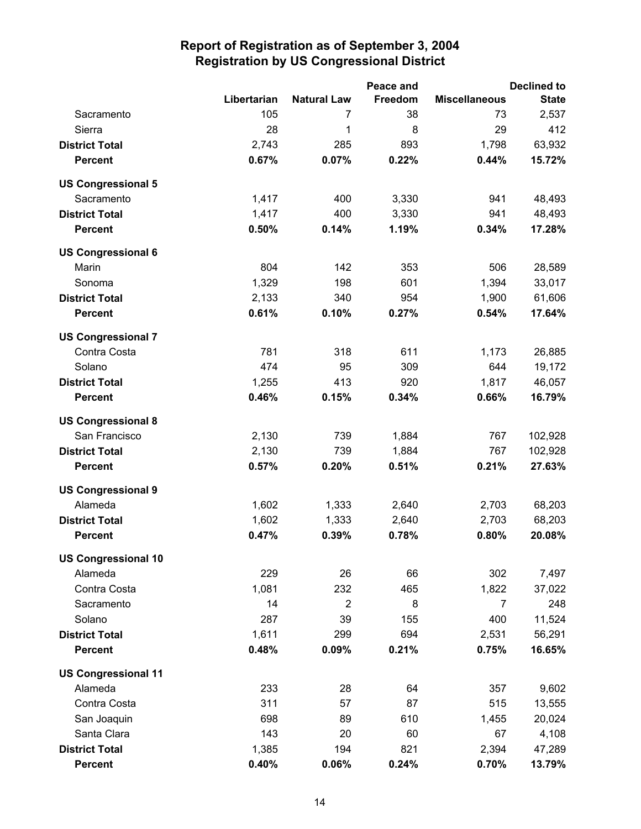|                            |             |                    | Peace and |                      | <b>Declined to</b> |
|----------------------------|-------------|--------------------|-----------|----------------------|--------------------|
|                            | Libertarian | <b>Natural Law</b> | Freedom   | <b>Miscellaneous</b> | <b>State</b>       |
| Sacramento                 | 105         | 7                  | 38        | 73                   | 2,537              |
| Sierra                     | 28          | 1                  | 8         | 29                   | 412                |
| <b>District Total</b>      | 2,743       | 285                | 893       | 1,798                | 63,932             |
| <b>Percent</b>             | 0.67%       | 0.07%              | 0.22%     | 0.44%                | 15.72%             |
| <b>US Congressional 5</b>  |             |                    |           |                      |                    |
| Sacramento                 | 1,417       | 400                | 3,330     | 941                  | 48,493             |
| <b>District Total</b>      | 1,417       | 400                | 3,330     | 941                  | 48,493             |
| <b>Percent</b>             | 0.50%       | 0.14%              | 1.19%     | 0.34%                | 17.28%             |
| <b>US Congressional 6</b>  |             |                    |           |                      |                    |
| Marin                      | 804         | 142                | 353       | 506                  | 28,589             |
| Sonoma                     | 1,329       | 198                | 601       | 1,394                | 33,017             |
| <b>District Total</b>      | 2,133       | 340                | 954       | 1,900                | 61,606             |
| <b>Percent</b>             | 0.61%       | 0.10%              | 0.27%     | 0.54%                | 17.64%             |
| <b>US Congressional 7</b>  |             |                    |           |                      |                    |
| Contra Costa               | 781         | 318                | 611       | 1,173                | 26,885             |
| Solano                     | 474         | 95                 | 309       | 644                  | 19,172             |
| <b>District Total</b>      | 1,255       | 413                | 920       | 1,817                | 46,057             |
| <b>Percent</b>             | 0.46%       | 0.15%              | 0.34%     | 0.66%                | 16.79%             |
| <b>US Congressional 8</b>  |             |                    |           |                      |                    |
| San Francisco              | 2,130       | 739                | 1,884     | 767                  | 102,928            |
| <b>District Total</b>      | 2,130       | 739                | 1,884     | 767                  | 102,928            |
| <b>Percent</b>             | 0.57%       | 0.20%              | 0.51%     | 0.21%                | 27.63%             |
| <b>US Congressional 9</b>  |             |                    |           |                      |                    |
| Alameda                    | 1,602       | 1,333              | 2,640     | 2,703                | 68,203             |
| <b>District Total</b>      | 1,602       | 1,333              | 2,640     | 2,703                | 68,203             |
| <b>Percent</b>             | 0.47%       | 0.39%              | 0.78%     | 0.80%                | 20.08%             |
| <b>US Congressional 10</b> |             |                    |           |                      |                    |
| Alameda                    | 229         | 26                 | 66        | 302                  | 7,497              |
| Contra Costa               | 1,081       | 232                | 465       | 1,822                | 37,022             |
| Sacramento                 | 14          | $\overline{2}$     | 8         | 7                    | 248                |
| Solano                     | 287         | 39                 | 155       | 400                  | 11,524             |
| <b>District Total</b>      | 1,611       | 299                | 694       | 2,531                | 56,291             |
| <b>Percent</b>             | 0.48%       | 0.09%              | 0.21%     | 0.75%                | 16.65%             |
| <b>US Congressional 11</b> |             |                    |           |                      |                    |
| Alameda                    | 233         | 28                 | 64        | 357                  | 9,602              |
| Contra Costa               | 311         | 57                 | 87        | 515                  | 13,555             |
| San Joaquin                | 698         | 89                 | 610       | 1,455                | 20,024             |
| Santa Clara                | 143         | 20                 | 60        | 67                   | 4,108              |
| <b>District Total</b>      | 1,385       | 194                | 821       | 2,394                | 47,289             |
| <b>Percent</b>             | 0.40%       | 0.06%              | 0.24%     | 0.70%                | 13.79%             |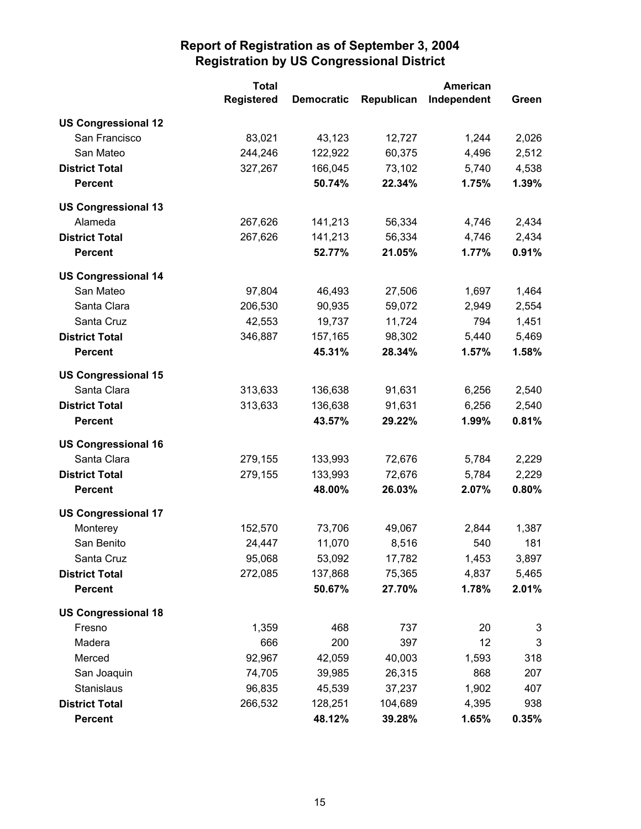|                            | <b>Total</b>      |                   | <b>American</b> |             |              |
|----------------------------|-------------------|-------------------|-----------------|-------------|--------------|
|                            | <b>Registered</b> | <b>Democratic</b> | Republican      | Independent | Green        |
| <b>US Congressional 12</b> |                   |                   |                 |             |              |
| San Francisco              | 83,021            | 43,123            | 12,727          | 1,244       | 2,026        |
| San Mateo                  | 244,246           | 122,922           | 60,375          | 4,496       | 2,512        |
| <b>District Total</b>      | 327,267           | 166,045           | 73,102          | 5,740       | 4,538        |
| <b>Percent</b>             |                   | 50.74%            | 22.34%          | 1.75%       | 1.39%        |
| <b>US Congressional 13</b> |                   |                   |                 |             |              |
| Alameda                    | 267,626           | 141,213           | 56,334          | 4,746       | 2,434        |
| <b>District Total</b>      | 267,626           | 141,213           | 56,334          | 4,746       | 2,434        |
| <b>Percent</b>             |                   | 52.77%            | 21.05%          | 1.77%       | 0.91%        |
| <b>US Congressional 14</b> |                   |                   |                 |             |              |
| San Mateo                  | 97,804            | 46,493            | 27,506          | 1,697       | 1,464        |
| Santa Clara                | 206,530           | 90,935            | 59,072          | 2,949       | 2,554        |
| Santa Cruz                 | 42,553            | 19,737            | 11,724          | 794         | 1,451        |
| <b>District Total</b>      | 346,887           | 157,165           | 98,302          | 5,440       | 5,469        |
| <b>Percent</b>             |                   | 45.31%            | 28.34%          | 1.57%       | 1.58%        |
| <b>US Congressional 15</b> |                   |                   |                 |             |              |
| Santa Clara                | 313,633           | 136,638           | 91,631          | 6,256       | 2,540        |
| <b>District Total</b>      | 313,633           | 136,638           | 91,631          | 6,256       | 2,540        |
| <b>Percent</b>             |                   | 43.57%            | 29.22%          | 1.99%       | 0.81%        |
| <b>US Congressional 16</b> |                   |                   |                 |             |              |
| Santa Clara                | 279,155           | 133,993           | 72,676          | 5,784       | 2,229        |
| <b>District Total</b>      | 279,155           | 133,993           | 72,676          | 5,784       | 2,229        |
| <b>Percent</b>             |                   | 48.00%            | 26.03%          | 2.07%       | 0.80%        |
| <b>US Congressional 17</b> |                   |                   |                 |             |              |
| Monterey                   | 152,570           | 73,706            | 49,067          | 2,844       | 1,387        |
| San Benito                 | 24,447            | 11,070            | 8,516           | 540         | 181          |
| Santa Cruz                 | 95,068            | 53,092            | 17,782          | 1,453       | 3,897        |
| <b>District Total</b>      | 272,085           | 137,868           | 75,365          | 4,837       | 5,465        |
| <b>Percent</b>             |                   | 50.67%            | 27.70%          | 1.78%       | 2.01%        |
| <b>US Congressional 18</b> |                   |                   |                 |             |              |
| Fresno                     | 1,359             | 468               | 737             | 20          | 3            |
| Madera                     | 666               | 200               | 397             | 12          | $\mathbf{3}$ |
| Merced                     | 92,967            | 42,059            | 40,003          | 1,593       | 318          |
| San Joaquin                | 74,705            | 39,985            | 26,315          | 868         | 207          |
| Stanislaus                 | 96,835            | 45,539            | 37,237          | 1,902       | 407          |
| <b>District Total</b>      | 266,532           | 128,251           | 104,689         | 4,395       | 938          |
| <b>Percent</b>             |                   | 48.12%            | 39.28%          | 1.65%       | 0.35%        |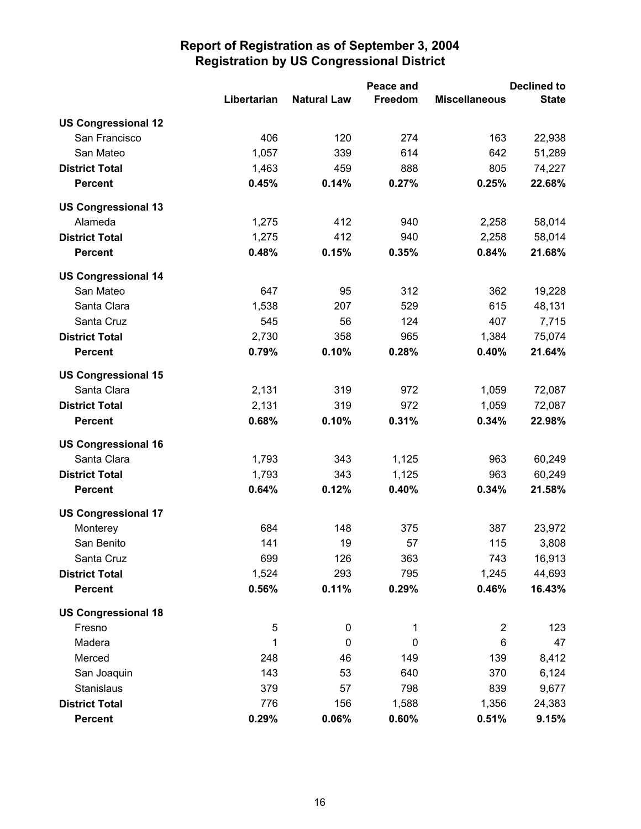|                            |             |                    | Peace and   | <b>Declined to</b>      |              |  |
|----------------------------|-------------|--------------------|-------------|-------------------------|--------------|--|
|                            | Libertarian | <b>Natural Law</b> | Freedom     | <b>Miscellaneous</b>    | <b>State</b> |  |
| <b>US Congressional 12</b> |             |                    |             |                         |              |  |
| San Francisco              | 406         | 120                | 274         | 163                     | 22,938       |  |
| San Mateo                  | 1,057       | 339                | 614         | 642                     | 51,289       |  |
| <b>District Total</b>      | 1,463       | 459                | 888         | 805                     | 74,227       |  |
| <b>Percent</b>             | 0.45%       | 0.14%              | 0.27%       | 0.25%                   | 22.68%       |  |
| <b>US Congressional 13</b> |             |                    |             |                         |              |  |
| Alameda                    | 1,275       | 412                | 940         | 2,258                   | 58,014       |  |
| <b>District Total</b>      | 1,275       | 412                | 940         | 2,258                   | 58,014       |  |
| <b>Percent</b>             | 0.48%       | 0.15%              | 0.35%       | 0.84%                   | 21.68%       |  |
| <b>US Congressional 14</b> |             |                    |             |                         |              |  |
| San Mateo                  | 647         | 95                 | 312         | 362                     | 19,228       |  |
| Santa Clara                | 1,538       | 207                | 529         | 615                     | 48,131       |  |
| Santa Cruz                 | 545         | 56                 | 124         | 407                     | 7,715        |  |
| <b>District Total</b>      | 2,730       | 358                | 965         | 1,384                   | 75,074       |  |
| <b>Percent</b>             | 0.79%       | 0.10%              | 0.28%       | 0.40%                   | 21.64%       |  |
| <b>US Congressional 15</b> |             |                    |             |                         |              |  |
| Santa Clara                | 2,131       | 319                | 972         | 1,059                   | 72,087       |  |
| <b>District Total</b>      | 2,131       | 319                | 972         | 1,059                   | 72,087       |  |
| <b>Percent</b>             | 0.68%       | 0.10%              | 0.31%       | 0.34%                   | 22.98%       |  |
| <b>US Congressional 16</b> |             |                    |             |                         |              |  |
| Santa Clara                | 1,793       | 343                | 1,125       | 963                     | 60,249       |  |
| <b>District Total</b>      | 1,793       | 343                | 1,125       | 963                     | 60,249       |  |
| <b>Percent</b>             | 0.64%       | 0.12%              | 0.40%       | 0.34%                   | 21.58%       |  |
| <b>US Congressional 17</b> |             |                    |             |                         |              |  |
| Monterey                   | 684         | 148                | 375         | 387                     | 23,972       |  |
| San Benito                 | 141         | 19                 | 57          | 115                     | 3,808        |  |
| Santa Cruz                 | 699         | 126                | 363         | 743                     | 16,913       |  |
| <b>District Total</b>      | 1,524       | 293                | 795         | 1,245                   | 44,693       |  |
| <b>Percent</b>             | 0.56%       | 0.11%              | 0.29%       | 0.46%                   | 16.43%       |  |
| <b>US Congressional 18</b> |             |                    |             |                         |              |  |
| Fresno                     | 5           | $\pmb{0}$          | 1           | $\overline{\mathbf{c}}$ | 123          |  |
| Madera                     | 1           | $\mathbf 0$        | $\mathbf 0$ | 6                       | 47           |  |
| Merced                     | 248         | 46                 | 149         | 139                     | 8,412        |  |
| San Joaquin                | 143         | 53                 | 640         | 370                     | 6,124        |  |
| Stanislaus                 | 379         | 57                 | 798         | 839                     | 9,677        |  |
| <b>District Total</b>      | 776         | 156                | 1,588       | 1,356                   | 24,383       |  |
| <b>Percent</b>             | 0.29%       | 0.06%              | 0.60%       | 0.51%                   | 9.15%        |  |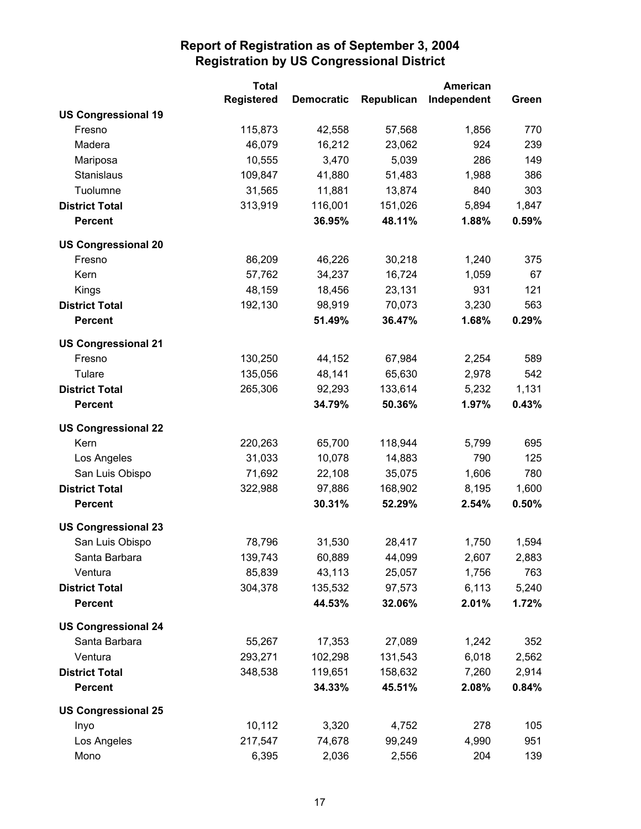|                            | <b>Total</b>      | American          |            |             |       |
|----------------------------|-------------------|-------------------|------------|-------------|-------|
|                            | <b>Registered</b> | <b>Democratic</b> | Republican | Independent | Green |
| <b>US Congressional 19</b> |                   |                   |            |             |       |
| Fresno                     | 115,873           | 42,558            | 57,568     | 1,856       | 770   |
| Madera                     | 46,079            | 16,212            | 23,062     | 924         | 239   |
| Mariposa                   | 10,555            | 3,470             | 5,039      | 286         | 149   |
| Stanislaus                 | 109,847           | 41,880            | 51,483     | 1,988       | 386   |
| Tuolumne                   | 31,565            | 11,881            | 13,874     | 840         | 303   |
| <b>District Total</b>      | 313,919           | 116,001           | 151,026    | 5,894       | 1,847 |
| <b>Percent</b>             |                   | 36.95%            | 48.11%     | 1.88%       | 0.59% |
| <b>US Congressional 20</b> |                   |                   |            |             |       |
| Fresno                     | 86,209            | 46,226            | 30,218     | 1,240       | 375   |
| Kern                       | 57,762            | 34,237            | 16,724     | 1,059       | 67    |
| Kings                      | 48,159            | 18,456            | 23,131     | 931         | 121   |
| <b>District Total</b>      | 192,130           | 98,919            | 70,073     | 3,230       | 563   |
| <b>Percent</b>             |                   | 51.49%            | 36.47%     | 1.68%       | 0.29% |
| <b>US Congressional 21</b> |                   |                   |            |             |       |
| Fresno                     | 130,250           | 44,152            | 67,984     | 2,254       | 589   |
| Tulare                     | 135,056           | 48,141            | 65,630     | 2,978       | 542   |
| <b>District Total</b>      | 265,306           | 92,293            | 133,614    | 5,232       | 1,131 |
| <b>Percent</b>             |                   | 34.79%            | 50.36%     | 1.97%       | 0.43% |
| <b>US Congressional 22</b> |                   |                   |            |             |       |
| Kern                       | 220,263           | 65,700            | 118,944    | 5,799       | 695   |
| Los Angeles                | 31,033            | 10,078            | 14,883     | 790         | 125   |
| San Luis Obispo            | 71,692            | 22,108            | 35,075     | 1,606       | 780   |
| <b>District Total</b>      | 322,988           | 97,886            | 168,902    | 8,195       | 1,600 |
| <b>Percent</b>             |                   | 30.31%            | 52.29%     | 2.54%       | 0.50% |
| <b>US Congressional 23</b> |                   |                   |            |             |       |
| San Luis Obispo            | 78,796            | 31,530            | 28,417     | 1,750       | 1,594 |
| Santa Barbara              | 139,743           | 60,889            | 44,099     | 2,607       | 2,883 |
| Ventura                    | 85,839            | 43,113            | 25,057     | 1,756       | 763   |
| <b>District Total</b>      | 304,378           | 135,532           | 97,573     | 6,113       | 5,240 |
| <b>Percent</b>             |                   | 44.53%            | 32.06%     | 2.01%       | 1.72% |
| <b>US Congressional 24</b> |                   |                   |            |             |       |
| Santa Barbara              | 55,267            | 17,353            | 27,089     | 1,242       | 352   |
| Ventura                    | 293,271           | 102,298           | 131,543    | 6,018       | 2,562 |
| <b>District Total</b>      | 348,538           | 119,651           | 158,632    | 7,260       | 2,914 |
| <b>Percent</b>             |                   | 34.33%            | 45.51%     | 2.08%       | 0.84% |
| <b>US Congressional 25</b> |                   |                   |            |             |       |
| Inyo                       | 10,112            | 3,320             | 4,752      | 278         | 105   |
| Los Angeles                | 217,547           | 74,678            | 99,249     | 4,990       | 951   |
| Mono                       | 6,395             | 2,036             | 2,556      | 204         | 139   |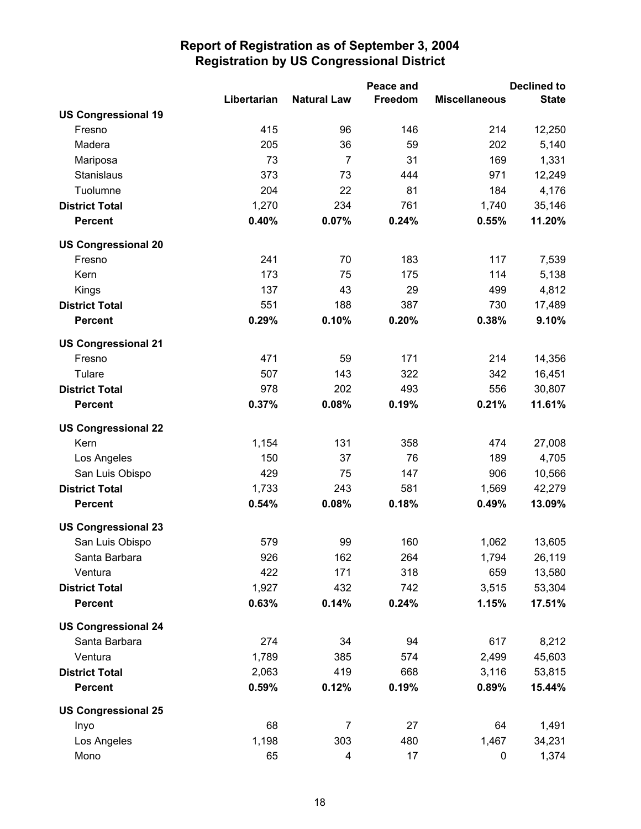|                            |             |                    | Peace and |                      | <b>Declined to</b> |
|----------------------------|-------------|--------------------|-----------|----------------------|--------------------|
|                            | Libertarian | <b>Natural Law</b> | Freedom   | <b>Miscellaneous</b> | <b>State</b>       |
| <b>US Congressional 19</b> |             |                    |           |                      |                    |
| Fresno                     | 415         | 96                 | 146       | 214                  | 12,250             |
| Madera                     | 205         | 36                 | 59        | 202                  | 5,140              |
| Mariposa                   | 73          | $\overline{7}$     | 31        | 169                  | 1,331              |
| Stanislaus                 | 373         | 73                 | 444       | 971                  | 12,249             |
| Tuolumne                   | 204         | 22                 | 81        | 184                  | 4,176              |
| <b>District Total</b>      | 1,270       | 234                | 761       | 1,740                | 35,146             |
| <b>Percent</b>             | 0.40%       | 0.07%              | 0.24%     | 0.55%                | 11.20%             |
| <b>US Congressional 20</b> |             |                    |           |                      |                    |
| Fresno                     | 241         | 70                 | 183       | 117                  | 7,539              |
| Kern                       | 173         | 75                 | 175       | 114                  | 5,138              |
| Kings                      | 137         | 43                 | 29        | 499                  | 4,812              |
| <b>District Total</b>      | 551         | 188                | 387       | 730                  | 17,489             |
| <b>Percent</b>             | 0.29%       | 0.10%              | 0.20%     | 0.38%                | 9.10%              |
| <b>US Congressional 21</b> |             |                    |           |                      |                    |
| Fresno                     | 471         | 59                 | 171       | 214                  | 14,356             |
| Tulare                     | 507         | 143                | 322       | 342                  | 16,451             |
| <b>District Total</b>      | 978         | 202                | 493       | 556                  | 30,807             |
| <b>Percent</b>             | 0.37%       | 0.08%              | 0.19%     | 0.21%                | 11.61%             |
| <b>US Congressional 22</b> |             |                    |           |                      |                    |
| Kern                       | 1,154       | 131                | 358       | 474                  | 27,008             |
| Los Angeles                | 150         | 37                 | 76        | 189                  | 4,705              |
| San Luis Obispo            | 429         | 75                 | 147       | 906                  | 10,566             |
| <b>District Total</b>      | 1,733       | 243                | 581       | 1,569                | 42,279             |
| <b>Percent</b>             | 0.54%       | 0.08%              | 0.18%     | 0.49%                | 13.09%             |
| <b>US Congressional 23</b> |             |                    |           |                      |                    |
| San Luis Obispo            | 579         | 99                 | 160       | 1,062                | 13,605             |
| Santa Barbara              | 926         | 162                | 264       | 1,794                | 26,119             |
| Ventura                    | 422         | 171                | 318       | 659                  | 13,580             |
| <b>District Total</b>      | 1,927       | 432                | 742       | 3,515                | 53,304             |
| <b>Percent</b>             | 0.63%       | 0.14%              | 0.24%     | 1.15%                | 17.51%             |
| <b>US Congressional 24</b> |             |                    |           |                      |                    |
| Santa Barbara              | 274         | 34                 | 94        | 617                  | 8,212              |
| Ventura                    | 1,789       | 385                | 574       | 2,499                | 45,603             |
| <b>District Total</b>      | 2,063       | 419                | 668       | 3,116                | 53,815             |
| <b>Percent</b>             | 0.59%       | 0.12%              | 0.19%     | 0.89%                | 15.44%             |
| <b>US Congressional 25</b> |             |                    |           |                      |                    |
| Inyo                       | 68          | $\overline{7}$     | 27        | 64                   | 1,491              |
| Los Angeles                | 1,198       | 303                | 480       | 1,467                | 34,231             |
| Mono                       | 65          | 4                  | 17        | 0                    | 1,374              |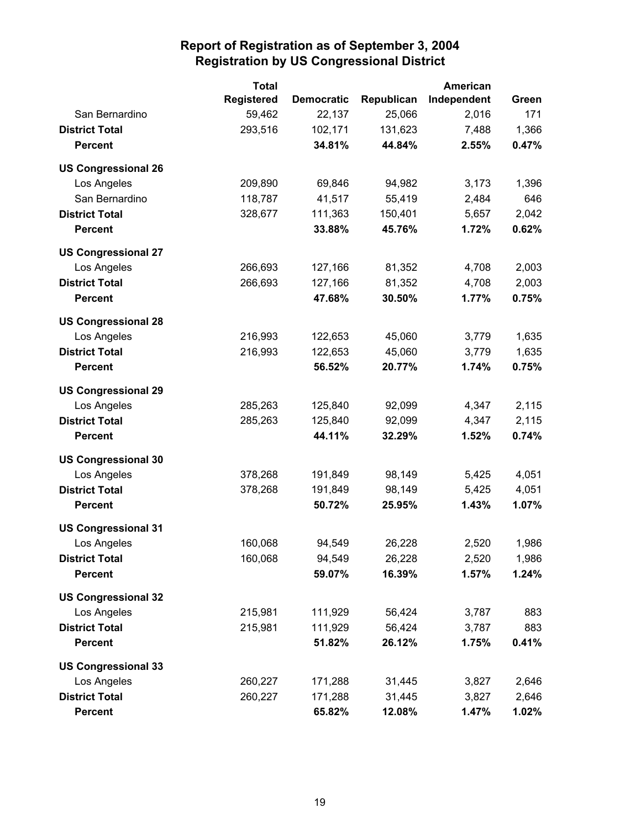|                            | <b>Total</b>      |                   | American   |             |       |
|----------------------------|-------------------|-------------------|------------|-------------|-------|
|                            | <b>Registered</b> | <b>Democratic</b> | Republican | Independent | Green |
| San Bernardino             | 59,462            | 22,137            | 25,066     | 2,016       | 171   |
| <b>District Total</b>      | 293,516           | 102,171           | 131,623    | 7,488       | 1,366 |
| <b>Percent</b>             |                   | 34.81%            | 44.84%     | 2.55%       | 0.47% |
| <b>US Congressional 26</b> |                   |                   |            |             |       |
| Los Angeles                | 209,890           | 69,846            | 94,982     | 3,173       | 1,396 |
| San Bernardino             | 118,787           | 41,517            | 55,419     | 2,484       | 646   |
| <b>District Total</b>      | 328,677           | 111,363           | 150,401    | 5,657       | 2,042 |
| <b>Percent</b>             |                   | 33.88%            | 45.76%     | 1.72%       | 0.62% |
| <b>US Congressional 27</b> |                   |                   |            |             |       |
| Los Angeles                | 266,693           | 127,166           | 81,352     | 4,708       | 2,003 |
| <b>District Total</b>      | 266,693           | 127,166           | 81,352     | 4,708       | 2,003 |
| <b>Percent</b>             |                   | 47.68%            | 30.50%     | 1.77%       | 0.75% |
| <b>US Congressional 28</b> |                   |                   |            |             |       |
| Los Angeles                | 216,993           | 122,653           | 45,060     | 3,779       | 1,635 |
| <b>District Total</b>      | 216,993           | 122,653           | 45,060     | 3,779       | 1,635 |
| <b>Percent</b>             |                   | 56.52%            | 20.77%     | 1.74%       | 0.75% |
| <b>US Congressional 29</b> |                   |                   |            |             |       |
| Los Angeles                | 285,263           | 125,840           | 92,099     | 4,347       | 2,115 |
| <b>District Total</b>      | 285,263           | 125,840           | 92,099     | 4,347       | 2,115 |
| <b>Percent</b>             |                   | 44.11%            | 32.29%     | 1.52%       | 0.74% |
| <b>US Congressional 30</b> |                   |                   |            |             |       |
| Los Angeles                | 378,268           | 191,849           | 98,149     | 5,425       | 4,051 |
| <b>District Total</b>      | 378,268           | 191,849           | 98,149     | 5,425       | 4,051 |
| <b>Percent</b>             |                   | 50.72%            | 25.95%     | 1.43%       | 1.07% |
| <b>US Congressional 31</b> |                   |                   |            |             |       |
| Los Angeles                | 160,068           | 94,549            | 26,228     | 2,520       | 1,986 |
| <b>District Total</b>      | 160,068           | 94,549            | 26,228     | 2,520       | 1,986 |
| <b>Percent</b>             |                   | 59.07%            | 16.39%     | 1.57%       | 1.24% |
| <b>US Congressional 32</b> |                   |                   |            |             |       |
| Los Angeles                | 215,981           | 111,929           | 56,424     | 3,787       | 883   |
| <b>District Total</b>      | 215,981           | 111,929           | 56,424     | 3,787       | 883   |
| <b>Percent</b>             |                   | 51.82%            | 26.12%     | 1.75%       | 0.41% |
| <b>US Congressional 33</b> |                   |                   |            |             |       |
| Los Angeles                | 260,227           | 171,288           | 31,445     | 3,827       | 2,646 |
| <b>District Total</b>      | 260,227           | 171,288           | 31,445     | 3,827       | 2,646 |
| <b>Percent</b>             |                   | 65.82%            | 12.08%     | 1.47%       | 1.02% |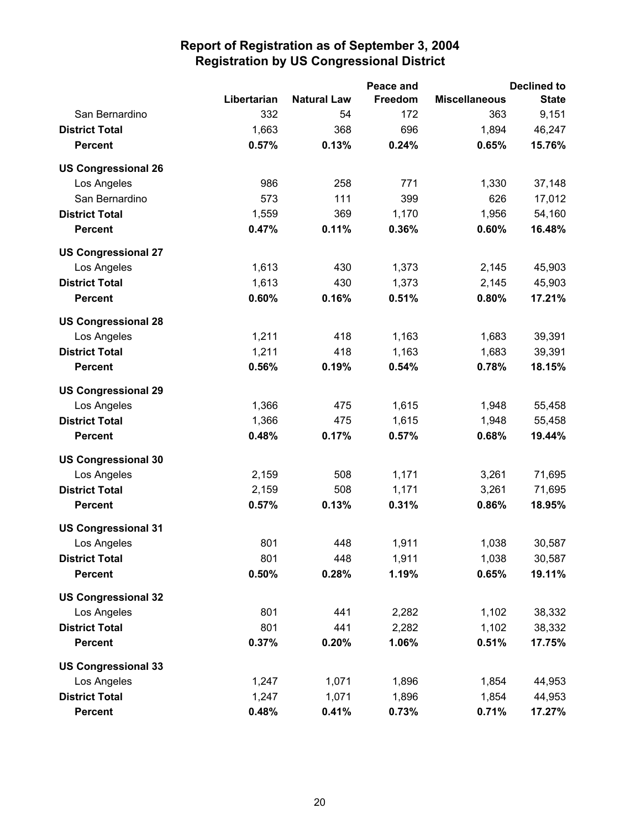|                            |             |                    | Peace and |                      | <b>Declined to</b> |
|----------------------------|-------------|--------------------|-----------|----------------------|--------------------|
|                            | Libertarian | <b>Natural Law</b> | Freedom   | <b>Miscellaneous</b> | <b>State</b>       |
| San Bernardino             | 332         | 54                 | 172       | 363                  | 9,151              |
| <b>District Total</b>      | 1,663       | 368                | 696       | 1,894                | 46,247             |
| <b>Percent</b>             | 0.57%       | 0.13%              | 0.24%     | 0.65%                | 15.76%             |
| <b>US Congressional 26</b> |             |                    |           |                      |                    |
| Los Angeles                | 986         | 258                | 771       | 1,330                | 37,148             |
| San Bernardino             | 573         | 111                | 399       | 626                  | 17,012             |
| <b>District Total</b>      | 1,559       | 369                | 1,170     | 1,956                | 54,160             |
| <b>Percent</b>             | 0.47%       | 0.11%              | 0.36%     | 0.60%                | 16.48%             |
| <b>US Congressional 27</b> |             |                    |           |                      |                    |
| Los Angeles                | 1,613       | 430                | 1,373     | 2,145                | 45,903             |
| <b>District Total</b>      | 1,613       | 430                | 1,373     | 2,145                | 45,903             |
| <b>Percent</b>             | 0.60%       | 0.16%              | 0.51%     | 0.80%                | 17.21%             |
| <b>US Congressional 28</b> |             |                    |           |                      |                    |
| Los Angeles                | 1,211       | 418                | 1,163     | 1,683                | 39,391             |
| <b>District Total</b>      | 1,211       | 418                | 1,163     | 1,683                | 39,391             |
| <b>Percent</b>             | 0.56%       | 0.19%              | 0.54%     | 0.78%                | 18.15%             |
| <b>US Congressional 29</b> |             |                    |           |                      |                    |
| Los Angeles                | 1,366       | 475                | 1,615     | 1,948                | 55,458             |
| <b>District Total</b>      | 1,366       | 475                | 1,615     | 1,948                | 55,458             |
| <b>Percent</b>             | 0.48%       | 0.17%              | 0.57%     | 0.68%                | 19.44%             |
| <b>US Congressional 30</b> |             |                    |           |                      |                    |
| Los Angeles                | 2,159       | 508                | 1,171     | 3,261                | 71,695             |
| <b>District Total</b>      | 2,159       | 508                | 1,171     | 3,261                | 71,695             |
| <b>Percent</b>             | 0.57%       | 0.13%              | 0.31%     | 0.86%                | 18.95%             |
| <b>US Congressional 31</b> |             |                    |           |                      |                    |
| Los Angeles                | 801         | 448                | 1,911     | 1,038                | 30,587             |
| <b>District Total</b>      | 801         | 448                | 1,911     | 1,038                | 30,587             |
| <b>Percent</b>             | 0.50%       | 0.28%              | 1.19%     | 0.65%                | 19.11%             |
| <b>US Congressional 32</b> |             |                    |           |                      |                    |
| Los Angeles                | 801         | 441                | 2,282     | 1,102                | 38,332             |
| <b>District Total</b>      | 801         | 441                | 2,282     | 1,102                | 38,332             |
| <b>Percent</b>             | 0.37%       | 0.20%              | 1.06%     | 0.51%                | 17.75%             |
| <b>US Congressional 33</b> |             |                    |           |                      |                    |
| Los Angeles                | 1,247       | 1,071              | 1,896     | 1,854                | 44,953             |
| <b>District Total</b>      | 1,247       | 1,071              | 1,896     | 1,854                | 44,953             |
| <b>Percent</b>             | 0.48%       | 0.41%              | 0.73%     | 0.71%                | 17.27%             |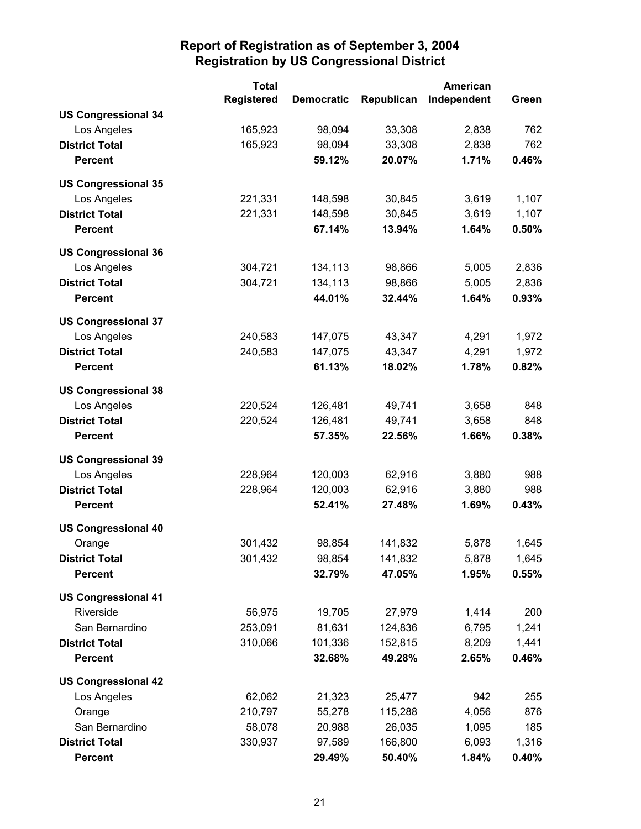|                            |                   | <b>American</b><br><b>Total</b> |            |             |       |
|----------------------------|-------------------|---------------------------------|------------|-------------|-------|
|                            | <b>Registered</b> | <b>Democratic</b>               | Republican | Independent | Green |
| <b>US Congressional 34</b> |                   |                                 |            |             |       |
| Los Angeles                | 165,923           | 98,094                          | 33,308     | 2,838       | 762   |
| <b>District Total</b>      | 165,923           | 98,094                          | 33,308     | 2,838       | 762   |
| <b>Percent</b>             |                   | 59.12%                          | 20.07%     | 1.71%       | 0.46% |
| <b>US Congressional 35</b> |                   |                                 |            |             |       |
| Los Angeles                | 221,331           | 148,598                         | 30,845     | 3,619       | 1,107 |
| <b>District Total</b>      | 221,331           | 148,598                         | 30,845     | 3,619       | 1,107 |
| <b>Percent</b>             |                   | 67.14%                          | 13.94%     | 1.64%       | 0.50% |
| <b>US Congressional 36</b> |                   |                                 |            |             |       |
| Los Angeles                | 304,721           | 134,113                         | 98,866     | 5,005       | 2,836 |
| <b>District Total</b>      | 304,721           | 134,113                         | 98,866     | 5,005       | 2,836 |
| <b>Percent</b>             |                   | 44.01%                          | 32.44%     | 1.64%       | 0.93% |
| <b>US Congressional 37</b> |                   |                                 |            |             |       |
| Los Angeles                | 240,583           | 147,075                         | 43,347     | 4,291       | 1,972 |
| <b>District Total</b>      | 240,583           | 147,075                         | 43,347     | 4,291       | 1,972 |
| <b>Percent</b>             |                   | 61.13%                          | 18.02%     | 1.78%       | 0.82% |
| <b>US Congressional 38</b> |                   |                                 |            |             |       |
| Los Angeles                | 220,524           | 126,481                         | 49,741     | 3,658       | 848   |
| <b>District Total</b>      | 220,524           | 126,481                         | 49,741     | 3,658       | 848   |
| <b>Percent</b>             |                   | 57.35%                          | 22.56%     | 1.66%       | 0.38% |
| <b>US Congressional 39</b> |                   |                                 |            |             |       |
| Los Angeles                | 228,964           | 120,003                         | 62,916     | 3,880       | 988   |
| <b>District Total</b>      | 228,964           | 120,003                         | 62,916     | 3,880       | 988   |
| <b>Percent</b>             |                   | 52.41%                          | 27.48%     | 1.69%       | 0.43% |
| <b>US Congressional 40</b> |                   |                                 |            |             |       |
| Orange                     | 301,432           | 98,854                          | 141,832    | 5,878       | 1,645 |
| <b>District Total</b>      | 301,432           | 98,854                          | 141,832    | 5,878       | 1,645 |
| <b>Percent</b>             |                   | 32.79%                          | 47.05%     | 1.95%       | 0.55% |
| <b>US Congressional 41</b> |                   |                                 |            |             |       |
| Riverside                  | 56,975            | 19,705                          | 27,979     | 1,414       | 200   |
| San Bernardino             | 253,091           | 81,631                          | 124,836    | 6,795       | 1,241 |
| <b>District Total</b>      | 310,066           | 101,336                         | 152,815    | 8,209       | 1,441 |
| <b>Percent</b>             |                   | 32.68%                          | 49.28%     | 2.65%       | 0.46% |
| <b>US Congressional 42</b> |                   |                                 |            |             |       |
| Los Angeles                | 62,062            | 21,323                          | 25,477     | 942         | 255   |
| Orange                     | 210,797           | 55,278                          | 115,288    | 4,056       | 876   |
| San Bernardino             | 58,078            | 20,988                          | 26,035     | 1,095       | 185   |
| <b>District Total</b>      | 330,937           | 97,589                          | 166,800    | 6,093       | 1,316 |
| <b>Percent</b>             |                   | 29.49%                          | 50.40%     | 1.84%       | 0.40% |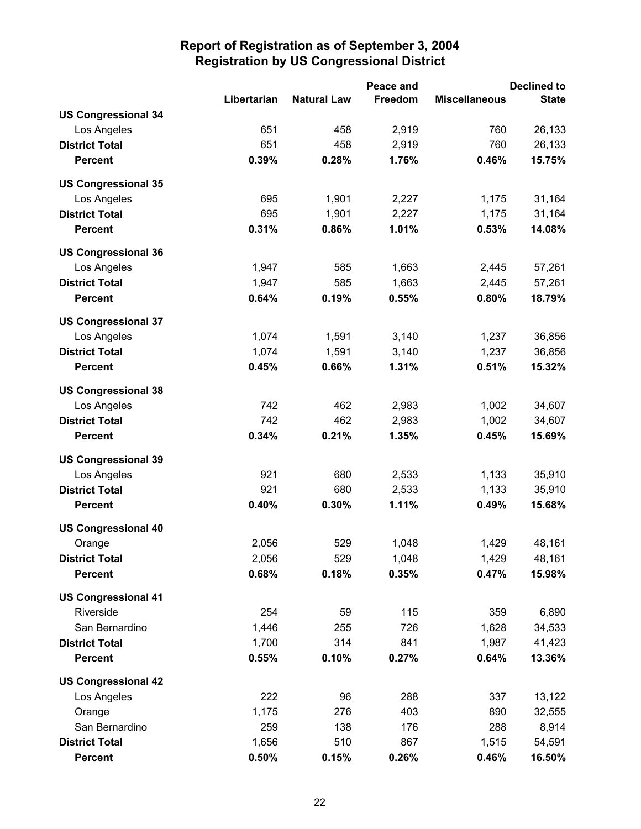|                            |             | Peace and          |         | <b>Declined to</b>   |              |
|----------------------------|-------------|--------------------|---------|----------------------|--------------|
|                            | Libertarian | <b>Natural Law</b> | Freedom | <b>Miscellaneous</b> | <b>State</b> |
| <b>US Congressional 34</b> |             |                    |         |                      |              |
| Los Angeles                | 651         | 458                | 2,919   | 760                  | 26,133       |
| <b>District Total</b>      | 651         | 458                | 2,919   | 760                  | 26,133       |
| <b>Percent</b>             | 0.39%       | 0.28%              | 1.76%   | 0.46%                | 15.75%       |
| <b>US Congressional 35</b> |             |                    |         |                      |              |
| Los Angeles                | 695         | 1,901              | 2,227   | 1,175                | 31,164       |
| <b>District Total</b>      | 695         | 1,901              | 2,227   | 1,175                | 31,164       |
| <b>Percent</b>             | 0.31%       | 0.86%              | 1.01%   | 0.53%                | 14.08%       |
| <b>US Congressional 36</b> |             |                    |         |                      |              |
| Los Angeles                | 1,947       | 585                | 1,663   | 2,445                | 57,261       |
| <b>District Total</b>      | 1,947       | 585                | 1,663   | 2,445                | 57,261       |
| <b>Percent</b>             | 0.64%       | 0.19%              | 0.55%   | 0.80%                | 18.79%       |
| <b>US Congressional 37</b> |             |                    |         |                      |              |
| Los Angeles                | 1,074       | 1,591              | 3,140   | 1,237                | 36,856       |
| <b>District Total</b>      | 1,074       | 1,591              | 3,140   | 1,237                | 36,856       |
| <b>Percent</b>             | 0.45%       | 0.66%              | 1.31%   | 0.51%                | 15.32%       |
| <b>US Congressional 38</b> |             |                    |         |                      |              |
| Los Angeles                | 742         | 462                | 2,983   | 1,002                | 34,607       |
| <b>District Total</b>      | 742         | 462                | 2,983   | 1,002                | 34,607       |
| <b>Percent</b>             | 0.34%       | 0.21%              | 1.35%   | 0.45%                | 15.69%       |
| <b>US Congressional 39</b> |             |                    |         |                      |              |
| Los Angeles                | 921         | 680                | 2,533   | 1,133                | 35,910       |
| <b>District Total</b>      | 921         | 680                | 2,533   | 1,133                | 35,910       |
| <b>Percent</b>             | 0.40%       | 0.30%              | 1.11%   | 0.49%                | 15.68%       |
| <b>US Congressional 40</b> |             |                    |         |                      |              |
| Orange                     | 2,056       | 529                | 1,048   | 1,429                | 48,161       |
| <b>District Total</b>      | 2,056       | 529                | 1,048   | 1,429                | 48,161       |
| <b>Percent</b>             | 0.68%       | 0.18%              | 0.35%   | 0.47%                | 15.98%       |
| <b>US Congressional 41</b> |             |                    |         |                      |              |
| Riverside                  | 254         | 59                 | 115     | 359                  | 6,890        |
| San Bernardino             | 1,446       | 255                | 726     | 1,628                | 34,533       |
| <b>District Total</b>      | 1,700       | 314                | 841     | 1,987                | 41,423       |
| <b>Percent</b>             | 0.55%       | 0.10%              | 0.27%   | 0.64%                | 13.36%       |
| <b>US Congressional 42</b> |             |                    |         |                      |              |
| Los Angeles                | 222         | 96                 | 288     | 337                  | 13,122       |
| Orange                     | 1,175       | 276                | 403     | 890                  | 32,555       |
| San Bernardino             | 259         | 138                | 176     | 288                  | 8,914        |
| <b>District Total</b>      | 1,656       | 510                | 867     | 1,515                | 54,591       |
| <b>Percent</b>             | 0.50%       | 0.15%              | 0.26%   | 0.46%                | 16.50%       |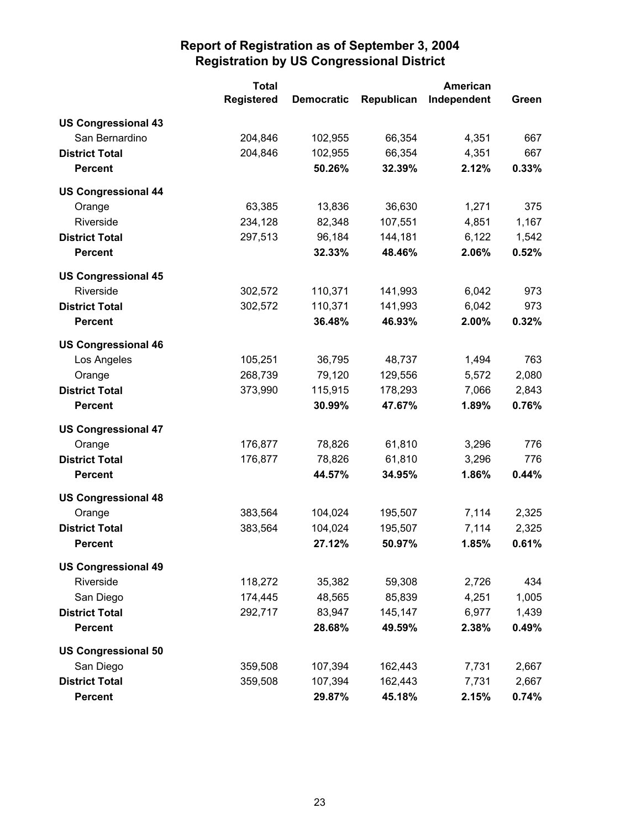|                            | <b>Total</b>      |                   |            | <b>American</b> |       |
|----------------------------|-------------------|-------------------|------------|-----------------|-------|
|                            | <b>Registered</b> | <b>Democratic</b> | Republican | Independent     | Green |
| <b>US Congressional 43</b> |                   |                   |            |                 |       |
| San Bernardino             | 204,846           | 102,955           | 66,354     | 4,351           | 667   |
| <b>District Total</b>      | 204,846           | 102,955           | 66,354     | 4,351           | 667   |
| <b>Percent</b>             |                   | 50.26%            | 32.39%     | 2.12%           | 0.33% |
| <b>US Congressional 44</b> |                   |                   |            |                 |       |
| Orange                     | 63,385            | 13,836            | 36,630     | 1,271           | 375   |
| Riverside                  | 234,128           | 82,348            | 107,551    | 4,851           | 1,167 |
| <b>District Total</b>      | 297,513           | 96,184            | 144,181    | 6,122           | 1,542 |
| <b>Percent</b>             |                   | 32.33%            | 48.46%     | 2.06%           | 0.52% |
| <b>US Congressional 45</b> |                   |                   |            |                 |       |
| Riverside                  | 302,572           | 110,371           | 141,993    | 6,042           | 973   |
| <b>District Total</b>      | 302,572           | 110,371           | 141,993    | 6,042           | 973   |
| <b>Percent</b>             |                   | 36.48%            | 46.93%     | 2.00%           | 0.32% |
| <b>US Congressional 46</b> |                   |                   |            |                 |       |
| Los Angeles                | 105,251           | 36,795            | 48,737     | 1,494           | 763   |
| Orange                     | 268,739           | 79,120            | 129,556    | 5,572           | 2,080 |
| <b>District Total</b>      | 373,990           | 115,915           | 178,293    | 7,066           | 2,843 |
| <b>Percent</b>             |                   | 30.99%            | 47.67%     | 1.89%           | 0.76% |
| <b>US Congressional 47</b> |                   |                   |            |                 |       |
| Orange                     | 176,877           | 78,826            | 61,810     | 3,296           | 776   |
| <b>District Total</b>      | 176,877           | 78,826            | 61,810     | 3,296           | 776   |
| <b>Percent</b>             |                   | 44.57%            | 34.95%     | 1.86%           | 0.44% |
| <b>US Congressional 48</b> |                   |                   |            |                 |       |
| Orange                     | 383,564           | 104,024           | 195,507    | 7,114           | 2,325 |
| <b>District Total</b>      | 383,564           | 104,024           | 195,507    | 7,114           | 2,325 |
| <b>Percent</b>             |                   | 27.12%            | 50.97%     | 1.85%           | 0.61% |
| <b>US Congressional 49</b> |                   |                   |            |                 |       |
| Riverside                  | 118,272           | 35,382            | 59,308     | 2,726           | 434   |
| San Diego                  | 174,445           | 48,565            | 85,839     | 4,251           | 1,005 |
| <b>District Total</b>      | 292,717           | 83,947            | 145,147    | 6,977           | 1,439 |
| <b>Percent</b>             |                   | 28.68%            | 49.59%     | 2.38%           | 0.49% |
| <b>US Congressional 50</b> |                   |                   |            |                 |       |
| San Diego                  | 359,508           | 107,394           | 162,443    | 7,731           | 2,667 |
| <b>District Total</b>      | 359,508           | 107,394           | 162,443    | 7,731           | 2,667 |
| <b>Percent</b>             |                   | 29.87%            | 45.18%     | 2.15%           | 0.74% |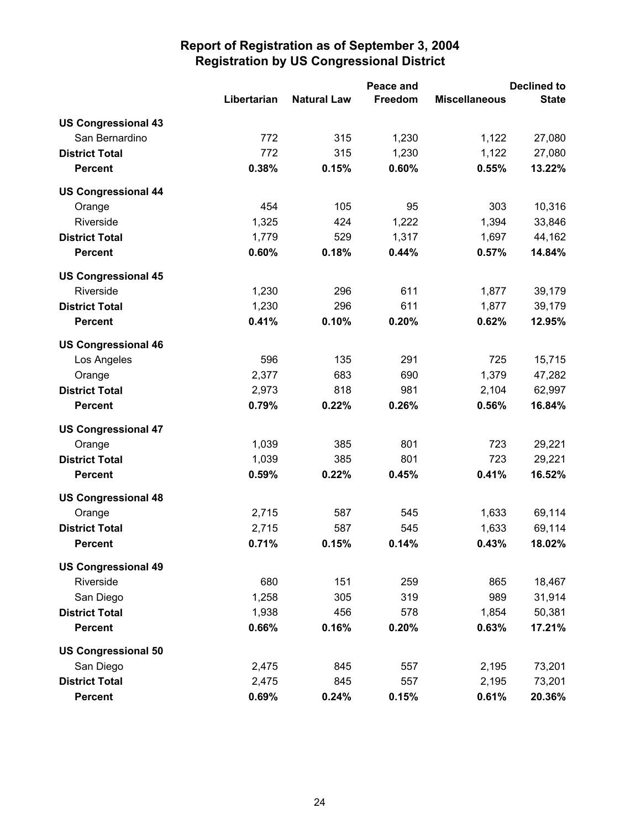|                            |             |                    | Peace and      | <b>Declined to</b>   |              |  |
|----------------------------|-------------|--------------------|----------------|----------------------|--------------|--|
|                            | Libertarian | <b>Natural Law</b> | <b>Freedom</b> | <b>Miscellaneous</b> | <b>State</b> |  |
| <b>US Congressional 43</b> |             |                    |                |                      |              |  |
| San Bernardino             | 772         | 315                | 1,230          | 1,122                | 27,080       |  |
| <b>District Total</b>      | 772         | 315                | 1,230          | 1,122                | 27,080       |  |
| <b>Percent</b>             | 0.38%       | 0.15%              | 0.60%          | 0.55%                | 13.22%       |  |
| <b>US Congressional 44</b> |             |                    |                |                      |              |  |
| Orange                     | 454         | 105                | 95             | 303                  | 10,316       |  |
| Riverside                  | 1,325       | 424                | 1,222          | 1,394                | 33,846       |  |
| <b>District Total</b>      | 1,779       | 529                | 1,317          | 1,697                | 44,162       |  |
| <b>Percent</b>             | 0.60%       | 0.18%              | 0.44%          | 0.57%                | 14.84%       |  |
| <b>US Congressional 45</b> |             |                    |                |                      |              |  |
| Riverside                  | 1,230       | 296                | 611            | 1,877                | 39,179       |  |
| <b>District Total</b>      | 1,230       | 296                | 611            | 1,877                | 39,179       |  |
| <b>Percent</b>             | 0.41%       | 0.10%              | 0.20%          | 0.62%                | 12.95%       |  |
| <b>US Congressional 46</b> |             |                    |                |                      |              |  |
| Los Angeles                | 596         | 135                | 291            | 725                  | 15,715       |  |
| Orange                     | 2,377       | 683                | 690            | 1,379                | 47,282       |  |
| <b>District Total</b>      | 2,973       | 818                | 981            | 2,104                | 62,997       |  |
| <b>Percent</b>             | 0.79%       | 0.22%              | 0.26%          | 0.56%                | 16.84%       |  |
| <b>US Congressional 47</b> |             |                    |                |                      |              |  |
| Orange                     | 1,039       | 385                | 801            | 723                  | 29,221       |  |
| <b>District Total</b>      | 1,039       | 385                | 801            | 723                  | 29,221       |  |
| <b>Percent</b>             | 0.59%       | 0.22%              | 0.45%          | 0.41%                | 16.52%       |  |
| <b>US Congressional 48</b> |             |                    |                |                      |              |  |
| Orange                     | 2,715       | 587                | 545            | 1,633                | 69,114       |  |
| <b>District Total</b>      | 2,715       | 587                | 545            | 1,633                | 69,114       |  |
| <b>Percent</b>             | 0.71%       | 0.15%              | 0.14%          | 0.43%                | 18.02%       |  |
| <b>US Congressional 49</b> |             |                    |                |                      |              |  |
| Riverside                  | 680         | 151                | 259            | 865                  | 18,467       |  |
| San Diego                  | 1,258       | 305                | 319            | 989                  | 31,914       |  |
| <b>District Total</b>      | 1,938       | 456                | 578            | 1,854                | 50,381       |  |
| <b>Percent</b>             | 0.66%       | 0.16%              | 0.20%          | 0.63%                | 17.21%       |  |
| <b>US Congressional 50</b> |             |                    |                |                      |              |  |
| San Diego                  | 2,475       | 845                | 557            | 2,195                | 73,201       |  |
| <b>District Total</b>      | 2,475       | 845                | 557            | 2,195                | 73,201       |  |
| <b>Percent</b>             | 0.69%       | 0.24%              | 0.15%          | 0.61%                | 20.36%       |  |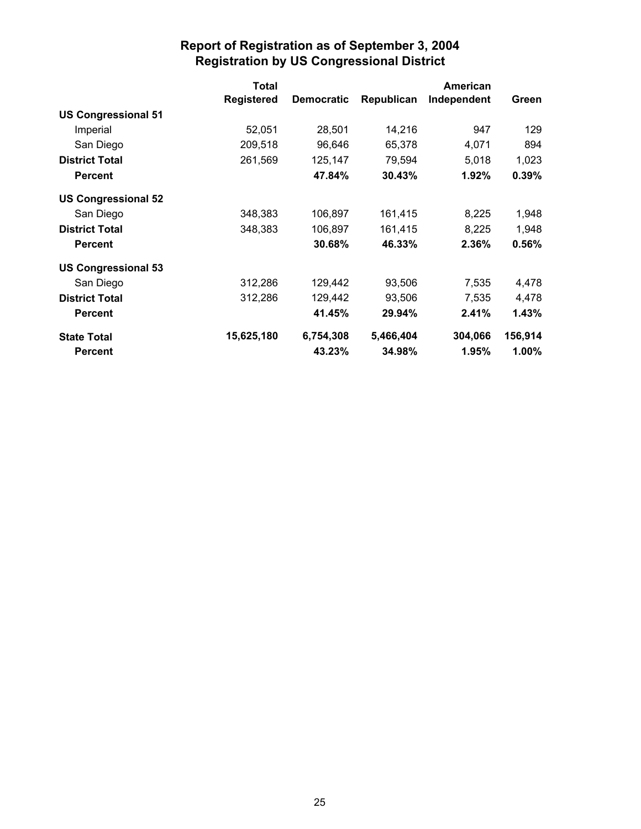|                            | <b>Total</b>      |                   |            | American    |          |
|----------------------------|-------------------|-------------------|------------|-------------|----------|
|                            | <b>Registered</b> | <b>Democratic</b> | Republican | Independent | Green    |
| <b>US Congressional 51</b> |                   |                   |            |             |          |
| Imperial                   | 52,051            | 28,501            | 14,216     | 947         | 129      |
| San Diego                  | 209,518           | 96,646            | 65,378     | 4,071       | 894      |
| <b>District Total</b>      | 261,569           | 125,147           | 79,594     | 5,018       | 1,023    |
| <b>Percent</b>             |                   | 47.84%            | 30.43%     | 1.92%       | 0.39%    |
| <b>US Congressional 52</b> |                   |                   |            |             |          |
| San Diego                  | 348,383           | 106,897           | 161,415    | 8,225       | 1,948    |
| <b>District Total</b>      | 348,383           | 106,897           | 161,415    | 8,225       | 1,948    |
| <b>Percent</b>             |                   | 30.68%            | 46.33%     | 2.36%       | 0.56%    |
| <b>US Congressional 53</b> |                   |                   |            |             |          |
| San Diego                  | 312,286           | 129,442           | 93,506     | 7,535       | 4,478    |
| <b>District Total</b>      | 312,286           | 129,442           | 93,506     | 7,535       | 4,478    |
| <b>Percent</b>             |                   | 41.45%            | 29.94%     | 2.41%       | 1.43%    |
| <b>State Total</b>         | 15,625,180        | 6,754,308         | 5,466,404  | 304,066     | 156,914  |
| <b>Percent</b>             |                   | 43.23%            | 34.98%     | 1.95%       | $1.00\%$ |